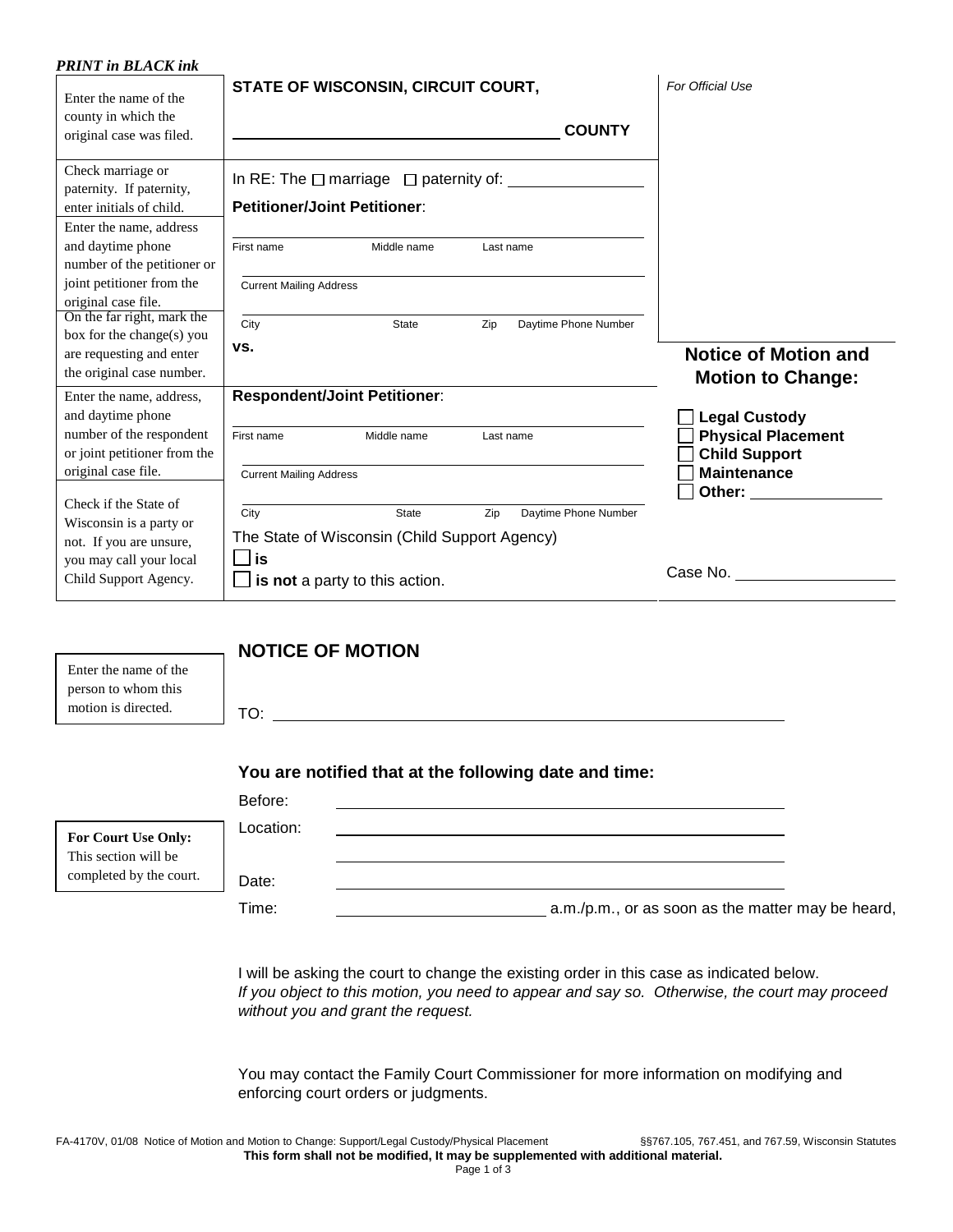| <b>PRINT</b> in <b>BLACK</b> ink                 |                                                                 |                                                                                                                                                                                                                                |
|--------------------------------------------------|-----------------------------------------------------------------|--------------------------------------------------------------------------------------------------------------------------------------------------------------------------------------------------------------------------------|
| Enter the name of the                            | STATE OF WISCONSIN, CIRCUIT COURT,                              | For Official Use                                                                                                                                                                                                               |
| county in which the                              |                                                                 |                                                                                                                                                                                                                                |
| original case was filed.                         | <b>COUNTY</b>                                                   |                                                                                                                                                                                                                                |
|                                                  |                                                                 |                                                                                                                                                                                                                                |
| Check marriage or                                | In RE: The $\square$ marriage $\square$ paternity of: $\square$ |                                                                                                                                                                                                                                |
| paternity. If paternity,                         |                                                                 |                                                                                                                                                                                                                                |
| enter initials of child.                         | <b>Petitioner/Joint Petitioner:</b>                             |                                                                                                                                                                                                                                |
| Enter the name, address                          |                                                                 |                                                                                                                                                                                                                                |
| and daytime phone<br>number of the petitioner or | First name<br>Middle name<br>Last name                          |                                                                                                                                                                                                                                |
| joint petitioner from the                        | <b>Current Mailing Address</b>                                  |                                                                                                                                                                                                                                |
| original case file.                              |                                                                 |                                                                                                                                                                                                                                |
| On the far right, mark the                       | City<br>Zip<br>Daytime Phone Number<br><b>State</b>             |                                                                                                                                                                                                                                |
| box for the change(s) you                        |                                                                 |                                                                                                                                                                                                                                |
| are requesting and enter                         | VS.                                                             | <b>Notice of Motion and</b>                                                                                                                                                                                                    |
| the original case number.                        |                                                                 | <b>Motion to Change:</b>                                                                                                                                                                                                       |
| Enter the name, address,                         | <b>Respondent/Joint Petitioner:</b>                             |                                                                                                                                                                                                                                |
| and daytime phone                                |                                                                 | <b>Legal Custody</b>                                                                                                                                                                                                           |
| number of the respondent                         | First name<br>Middle name<br>Last name                          | <b>Physical Placement</b>                                                                                                                                                                                                      |
| or joint petitioner from the                     |                                                                 | <b>Child Support</b>                                                                                                                                                                                                           |
| original case file.                              | <b>Current Mailing Address</b>                                  | <b>Maintenance</b>                                                                                                                                                                                                             |
| Check if the State of                            |                                                                 | Other: and the control of the control of the control of the control of the control of the control of the control of the control of the control of the control of the control of the control of the control of the control of t |
| Wisconsin is a party or                          | City<br>State<br>Zip<br>Daytime Phone Number                    |                                                                                                                                                                                                                                |
| not. If you are unsure,                          | The State of Wisconsin (Child Support Agency)                   |                                                                                                                                                                                                                                |
| you may call your local                          | $\Box$ is                                                       |                                                                                                                                                                                                                                |
| Child Support Agency.                            | $\Box$ is not a party to this action.                           |                                                                                                                                                                                                                                |
|                                                  |                                                                 |                                                                                                                                                                                                                                |
|                                                  | <b>NOTICE OF MOTION</b>                                         |                                                                                                                                                                                                                                |
| Enter the name of the                            |                                                                 |                                                                                                                                                                                                                                |
| person to whom this                              |                                                                 |                                                                                                                                                                                                                                |
| motion is directed.                              | TO:                                                             |                                                                                                                                                                                                                                |
|                                                  |                                                                 |                                                                                                                                                                                                                                |
|                                                  |                                                                 |                                                                                                                                                                                                                                |
|                                                  | You are notified that at the following date and time:           |                                                                                                                                                                                                                                |
|                                                  | Before:                                                         |                                                                                                                                                                                                                                |
|                                                  | Location:                                                       |                                                                                                                                                                                                                                |
| For Court Use Only:<br>This section will be      |                                                                 |                                                                                                                                                                                                                                |
| completed by the court.                          |                                                                 |                                                                                                                                                                                                                                |
|                                                  | Date:                                                           |                                                                                                                                                                                                                                |
|                                                  | Time:                                                           | a.m./p.m., or as soon as the matter may be heard,                                                                                                                                                                              |

I will be asking the court to change the existing order in this case as indicated below. If you object to this motion, you need to appear and say so. Otherwise, the court may proceed without you and grant the request.

You may contact the Family Court Commissioner for more information on modifying and enforcing court orders or judgments.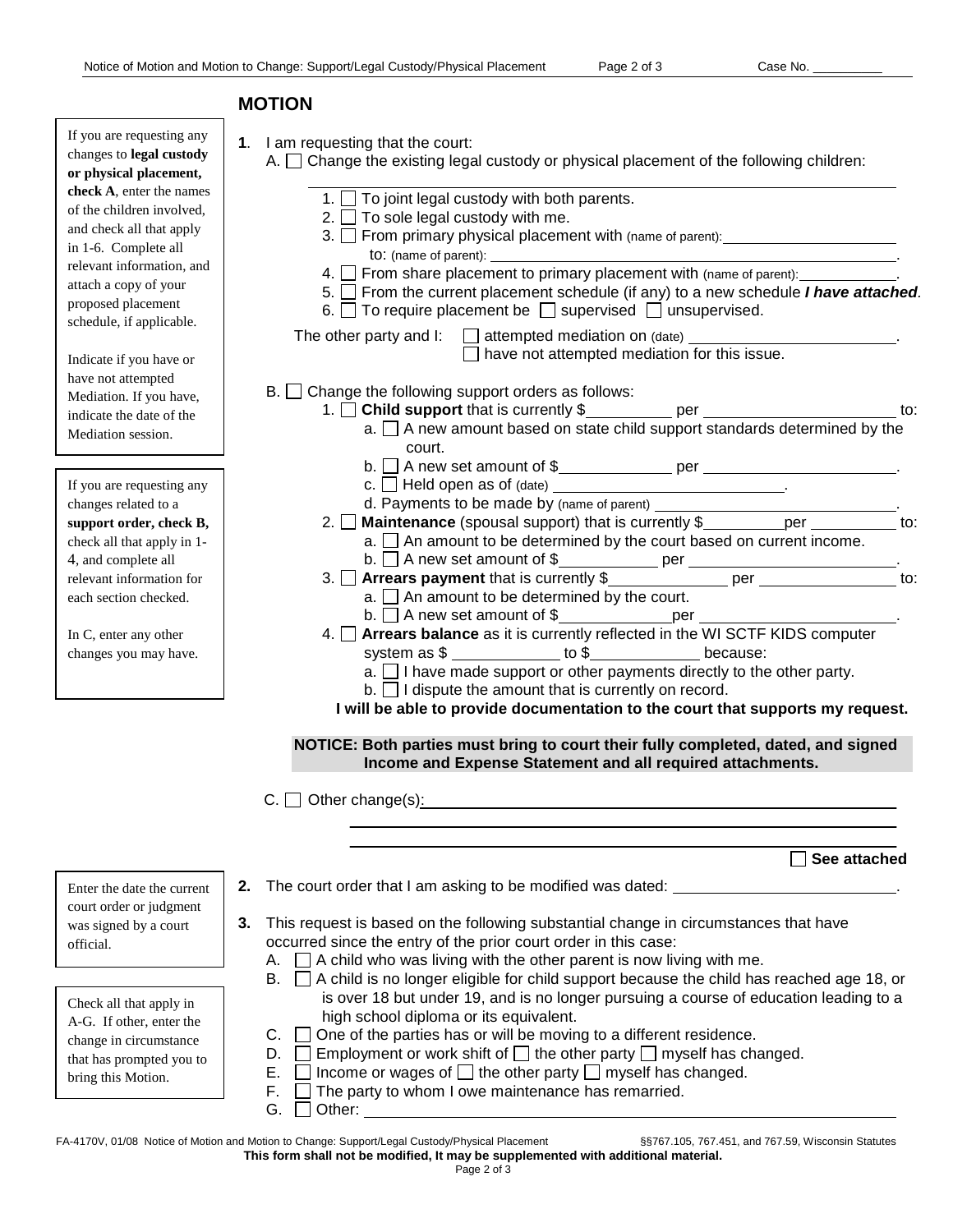## **MOTION**

| If you are requesting any<br>changes to legal custody<br>or physical placement,<br>check A, enter the names<br>of the children involved,<br>and check all that apply<br>in 1-6. Complete all<br>relevant information, and<br>attach a copy of your<br>proposed placement<br>schedule, if applicable.<br>Indicate if you have or<br>have not attempted<br>Mediation. If you have, | 1. I am requesting that the court:<br>A. $\Box$ Change the existing legal custody or physical placement of the following children:<br>1. $\Box$ To joint legal custody with both parents.<br>2. $\Box$ To sole legal custody with me.<br>3. From primary physical placement with (name of parent): From primary physical placement with (name of parent).<br>to: (name of parent):<br>4. □ From share placement to primary placement with (name of parent): ____________.<br>5. From the current placement schedule (if any) to a new schedule <i>I have attached</i> .<br>6. $\Box$ To require placement be $\Box$ supervised $\Box$ unsupervised.<br>The other party and $\mathfrak{l}$ : $\Box$ attempted mediation on (date) $\Box$<br>have not attempted mediation for this issue.<br>$B.$ $\Box$ Change the following support orders as follows: |
|----------------------------------------------------------------------------------------------------------------------------------------------------------------------------------------------------------------------------------------------------------------------------------------------------------------------------------------------------------------------------------|--------------------------------------------------------------------------------------------------------------------------------------------------------------------------------------------------------------------------------------------------------------------------------------------------------------------------------------------------------------------------------------------------------------------------------------------------------------------------------------------------------------------------------------------------------------------------------------------------------------------------------------------------------------------------------------------------------------------------------------------------------------------------------------------------------------------------------------------------------|
| indicate the date of the                                                                                                                                                                                                                                                                                                                                                         | 1. $\Box$ Child support that is currently \$                                                                                                                                                                                                                                                                                                                                                                                                                                                                                                                                                                                                                                                                                                                                                                                                           |
| Mediation session.                                                                                                                                                                                                                                                                                                                                                               | a. $\square$ A new amount based on state child support standards determined by the<br>court.                                                                                                                                                                                                                                                                                                                                                                                                                                                                                                                                                                                                                                                                                                                                                           |
|                                                                                                                                                                                                                                                                                                                                                                                  |                                                                                                                                                                                                                                                                                                                                                                                                                                                                                                                                                                                                                                                                                                                                                                                                                                                        |
| If you are requesting any<br>changes related to a                                                                                                                                                                                                                                                                                                                                |                                                                                                                                                                                                                                                                                                                                                                                                                                                                                                                                                                                                                                                                                                                                                                                                                                                        |
| support order, check B,                                                                                                                                                                                                                                                                                                                                                          | to:<br>$2.\Box$                                                                                                                                                                                                                                                                                                                                                                                                                                                                                                                                                                                                                                                                                                                                                                                                                                        |
| check all that apply in 1-                                                                                                                                                                                                                                                                                                                                                       | $a.$ An amount to be determined by the court based on current income.                                                                                                                                                                                                                                                                                                                                                                                                                                                                                                                                                                                                                                                                                                                                                                                  |
| 4, and complete all                                                                                                                                                                                                                                                                                                                                                              |                                                                                                                                                                                                                                                                                                                                                                                                                                                                                                                                                                                                                                                                                                                                                                                                                                                        |
| relevant information for                                                                                                                                                                                                                                                                                                                                                         |                                                                                                                                                                                                                                                                                                                                                                                                                                                                                                                                                                                                                                                                                                                                                                                                                                                        |
| each section checked.                                                                                                                                                                                                                                                                                                                                                            | $a.$ An amount to be determined by the court.                                                                                                                                                                                                                                                                                                                                                                                                                                                                                                                                                                                                                                                                                                                                                                                                          |
| In C, enter any other                                                                                                                                                                                                                                                                                                                                                            | 4. Arrears balance as it is currently reflected in the WI SCTF KIDS computer                                                                                                                                                                                                                                                                                                                                                                                                                                                                                                                                                                                                                                                                                                                                                                           |
| changes you may have.                                                                                                                                                                                                                                                                                                                                                            | system as \$                                                                                                                                                                                                                                                                                                                                                                                                                                                                                                                                                                                                                                                                                                                                                                                                                                           |
|                                                                                                                                                                                                                                                                                                                                                                                  | $a.$ I have made support or other payments directly to the other party.                                                                                                                                                                                                                                                                                                                                                                                                                                                                                                                                                                                                                                                                                                                                                                                |
|                                                                                                                                                                                                                                                                                                                                                                                  | $b.$ I dispute the amount that is currently on record.                                                                                                                                                                                                                                                                                                                                                                                                                                                                                                                                                                                                                                                                                                                                                                                                 |
|                                                                                                                                                                                                                                                                                                                                                                                  | I will be able to provide documentation to the court that supports my request.                                                                                                                                                                                                                                                                                                                                                                                                                                                                                                                                                                                                                                                                                                                                                                         |
|                                                                                                                                                                                                                                                                                                                                                                                  | NOTICE: Both parties must bring to court their fully completed, dated, and signed<br>Income and Expense Statement and all required attachments.                                                                                                                                                                                                                                                                                                                                                                                                                                                                                                                                                                                                                                                                                                        |
|                                                                                                                                                                                                                                                                                                                                                                                  |                                                                                                                                                                                                                                                                                                                                                                                                                                                                                                                                                                                                                                                                                                                                                                                                                                                        |
|                                                                                                                                                                                                                                                                                                                                                                                  | $\Box$ Other change(s):<br>C.I                                                                                                                                                                                                                                                                                                                                                                                                                                                                                                                                                                                                                                                                                                                                                                                                                         |
|                                                                                                                                                                                                                                                                                                                                                                                  | See attached                                                                                                                                                                                                                                                                                                                                                                                                                                                                                                                                                                                                                                                                                                                                                                                                                                           |
| Enter the date the current                                                                                                                                                                                                                                                                                                                                                       | The court order that I am asking to be modified was dated:<br>2.                                                                                                                                                                                                                                                                                                                                                                                                                                                                                                                                                                                                                                                                                                                                                                                       |
| court order or judgment                                                                                                                                                                                                                                                                                                                                                          |                                                                                                                                                                                                                                                                                                                                                                                                                                                                                                                                                                                                                                                                                                                                                                                                                                                        |
| was signed by a court                                                                                                                                                                                                                                                                                                                                                            | This request is based on the following substantial change in circumstances that have<br>3.                                                                                                                                                                                                                                                                                                                                                                                                                                                                                                                                                                                                                                                                                                                                                             |
| official.                                                                                                                                                                                                                                                                                                                                                                        | occurred since the entry of the prior court order in this case:<br>A child who was living with the other parent is now living with me.<br>А.                                                                                                                                                                                                                                                                                                                                                                                                                                                                                                                                                                                                                                                                                                           |
|                                                                                                                                                                                                                                                                                                                                                                                  | A child is no longer eligible for child support because the child has reached age 18, or<br>B.                                                                                                                                                                                                                                                                                                                                                                                                                                                                                                                                                                                                                                                                                                                                                         |
| Check all that apply in                                                                                                                                                                                                                                                                                                                                                          | is over 18 but under 19, and is no longer pursuing a course of education leading to a                                                                                                                                                                                                                                                                                                                                                                                                                                                                                                                                                                                                                                                                                                                                                                  |
| A-G. If other, enter the                                                                                                                                                                                                                                                                                                                                                         | high school diploma or its equivalent.                                                                                                                                                                                                                                                                                                                                                                                                                                                                                                                                                                                                                                                                                                                                                                                                                 |
| change in circumstance                                                                                                                                                                                                                                                                                                                                                           | One of the parties has or will be moving to a different residence.<br>C.                                                                                                                                                                                                                                                                                                                                                                                                                                                                                                                                                                                                                                                                                                                                                                               |
| that has prompted you to                                                                                                                                                                                                                                                                                                                                                         | Employment or work shift of $\Box$ the other party $\Box$ myself has changed.<br>D.                                                                                                                                                                                                                                                                                                                                                                                                                                                                                                                                                                                                                                                                                                                                                                    |
| bring this Motion.                                                                                                                                                                                                                                                                                                                                                               | Income or wages of $\Box$ the other party $\Box$ myself has changed.<br>Е.<br>The party to whom I owe maintenance has remarried.<br>F.                                                                                                                                                                                                                                                                                                                                                                                                                                                                                                                                                                                                                                                                                                                 |
|                                                                                                                                                                                                                                                                                                                                                                                  | Other:<br>G.                                                                                                                                                                                                                                                                                                                                                                                                                                                                                                                                                                                                                                                                                                                                                                                                                                           |

FA-4170V, 01/08 Notice of Motion and Motion to Change: Support/Legal Custody/Physical Placement §§767.105, 767.451, and 767.59, Wisconsin Statutes **This form shall not be modified, It may be supplemented with additional material.**